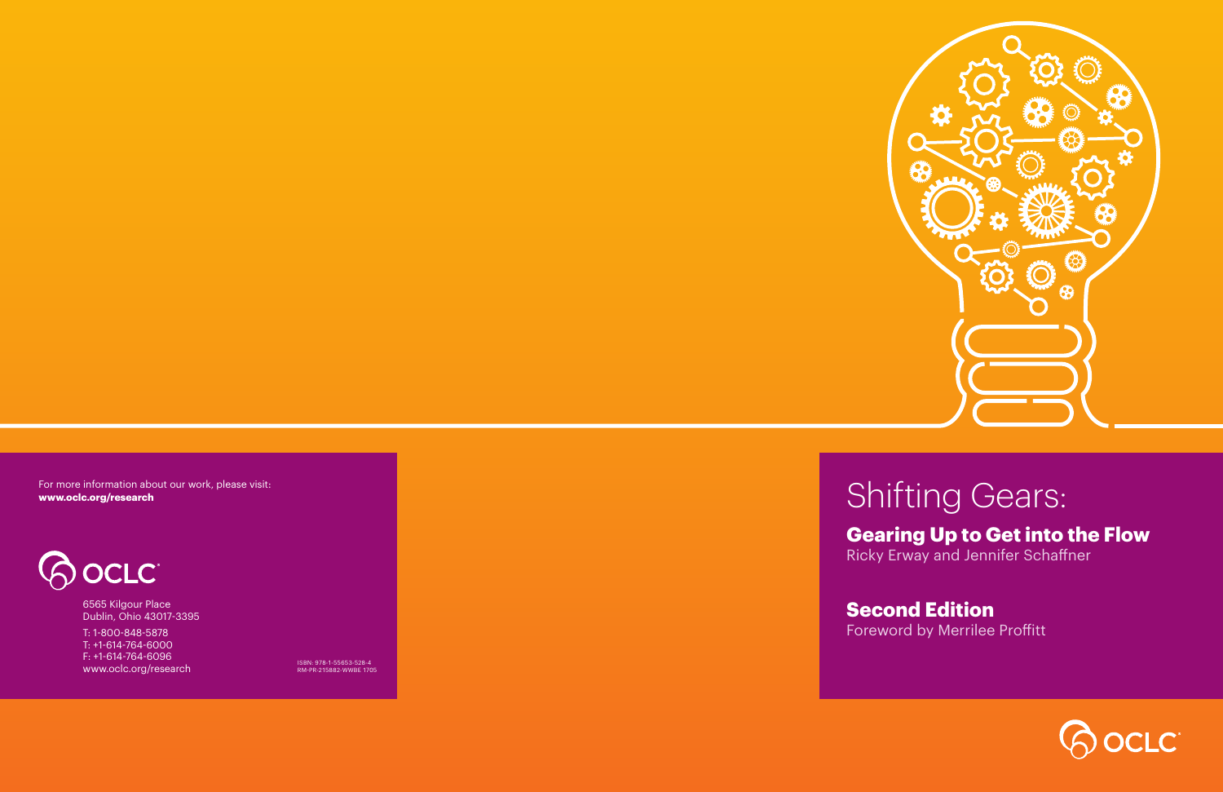

# Shifting Gears:

## **Gearing Up to Get into the Flow**

Ricky Erway and Jennifer Schaffner

# **Second Edition**

Foreword by Merrilee Proffitt

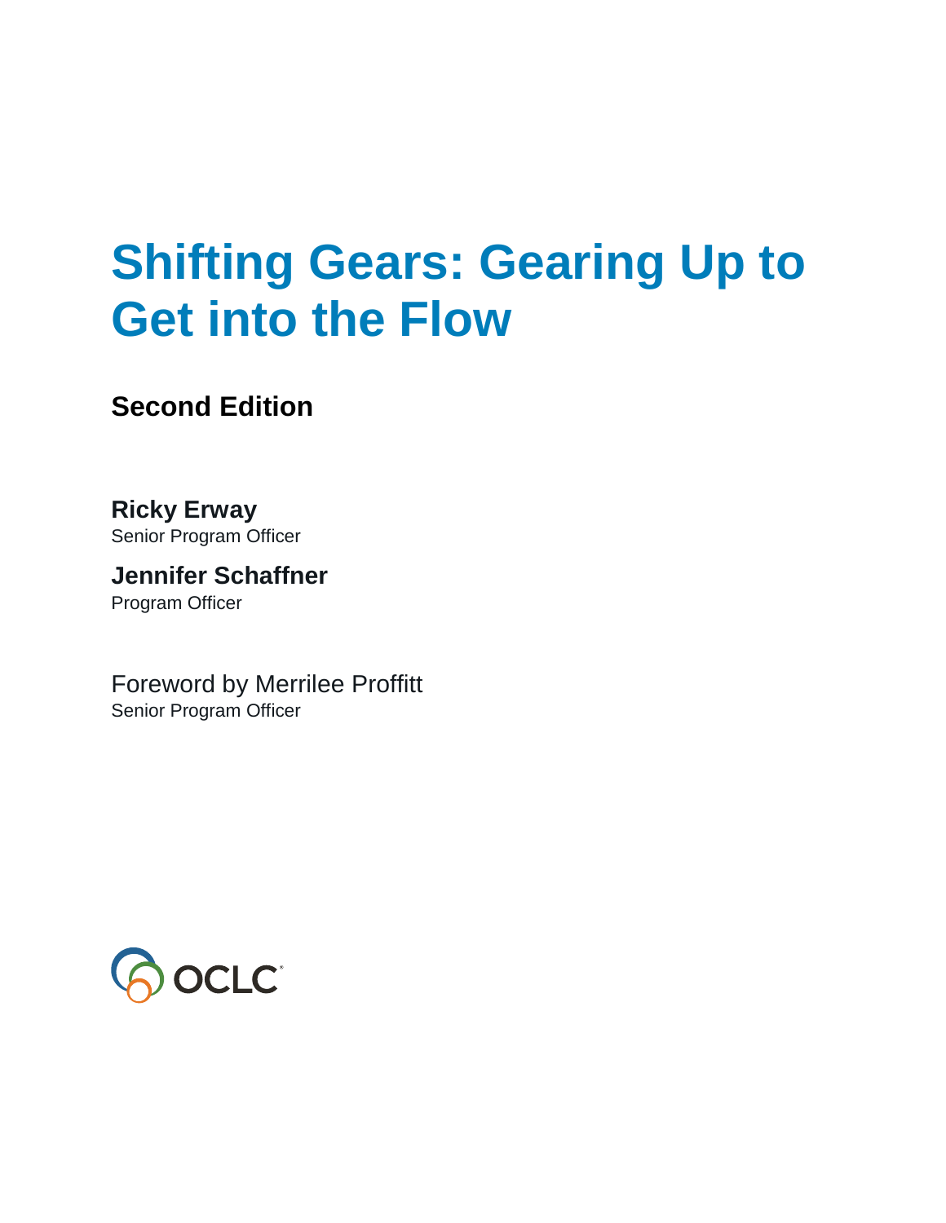# **Shifting Gears: Gearing Up to Get into the Flow**

### **Second Edition**

**Ricky Erway** Senior Program Officer

**Jennifer Schaffner** Program Officer

Foreword by Merrilee Proffitt Senior Program Officer

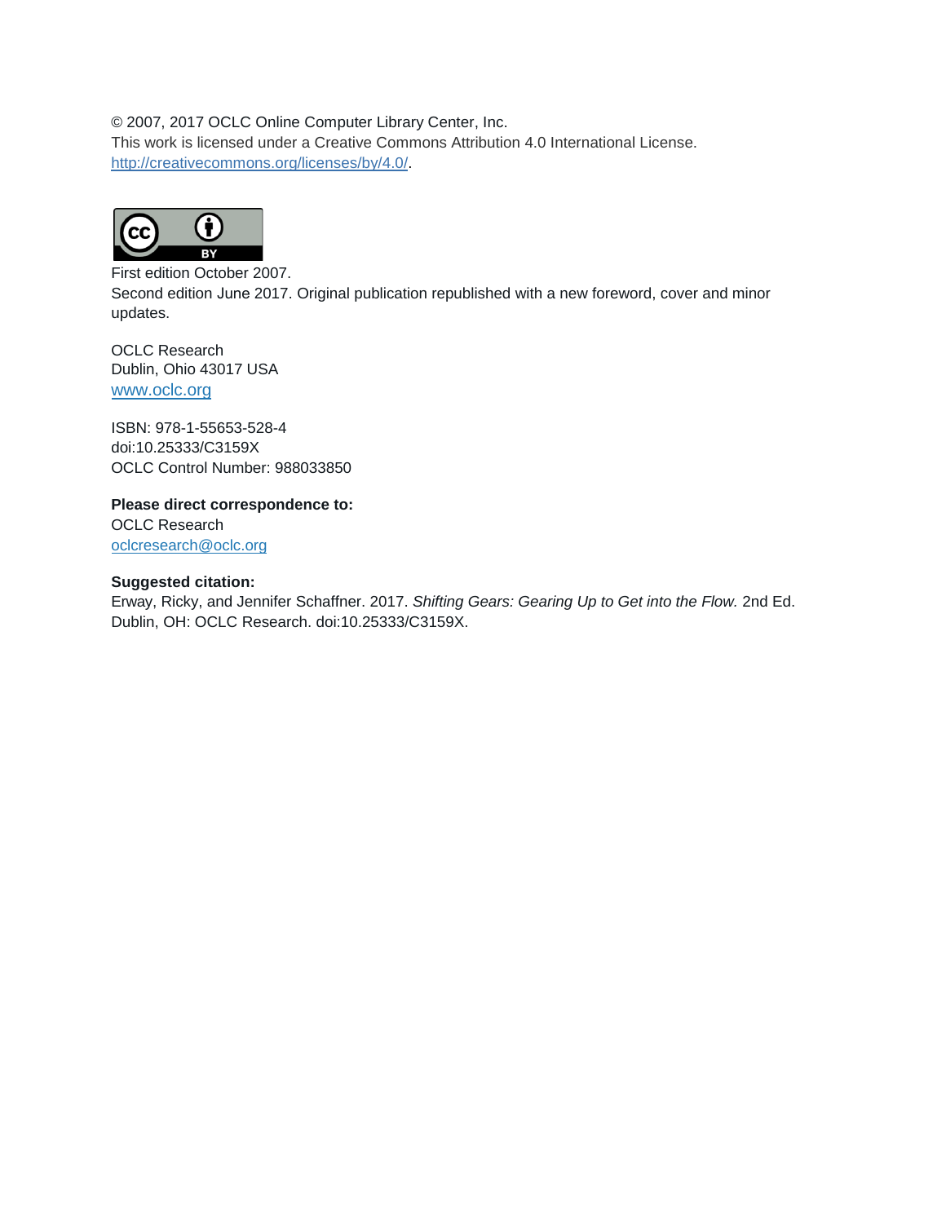#### © 2007, 2017 OCLC Online Computer Library Center, Inc.

This work is licensed under a Creative Commons Attribution 4.0 International License. [http://creativecommons.org/licenses/by/4.0/.](http://creativecommons.org/licenses/by/4.0/)



First edition October 2007. Second edition June 2017. Original publication republished with a new foreword, cover and minor updates.

OCLC Research Dublin, Ohio 43017 USA [www.oclc.org](http://www.oclc.org/)

ISBN: 978-1-55653-528-4 doi:10.25333/C3159X OCLC Control Number: 988033850

**Please direct correspondence to:** OCLC Research [oclcresearch@oclc.org](mailto:oclcresearch@oclc.org) 

#### **Suggested citation:**

Erway, Ricky, and Jennifer Schaffner. 2017. *Shifting Gears: Gearing Up to Get into the Flow.* 2nd Ed. Dublin, OH: OCLC Research. doi:10.25333/C3159X.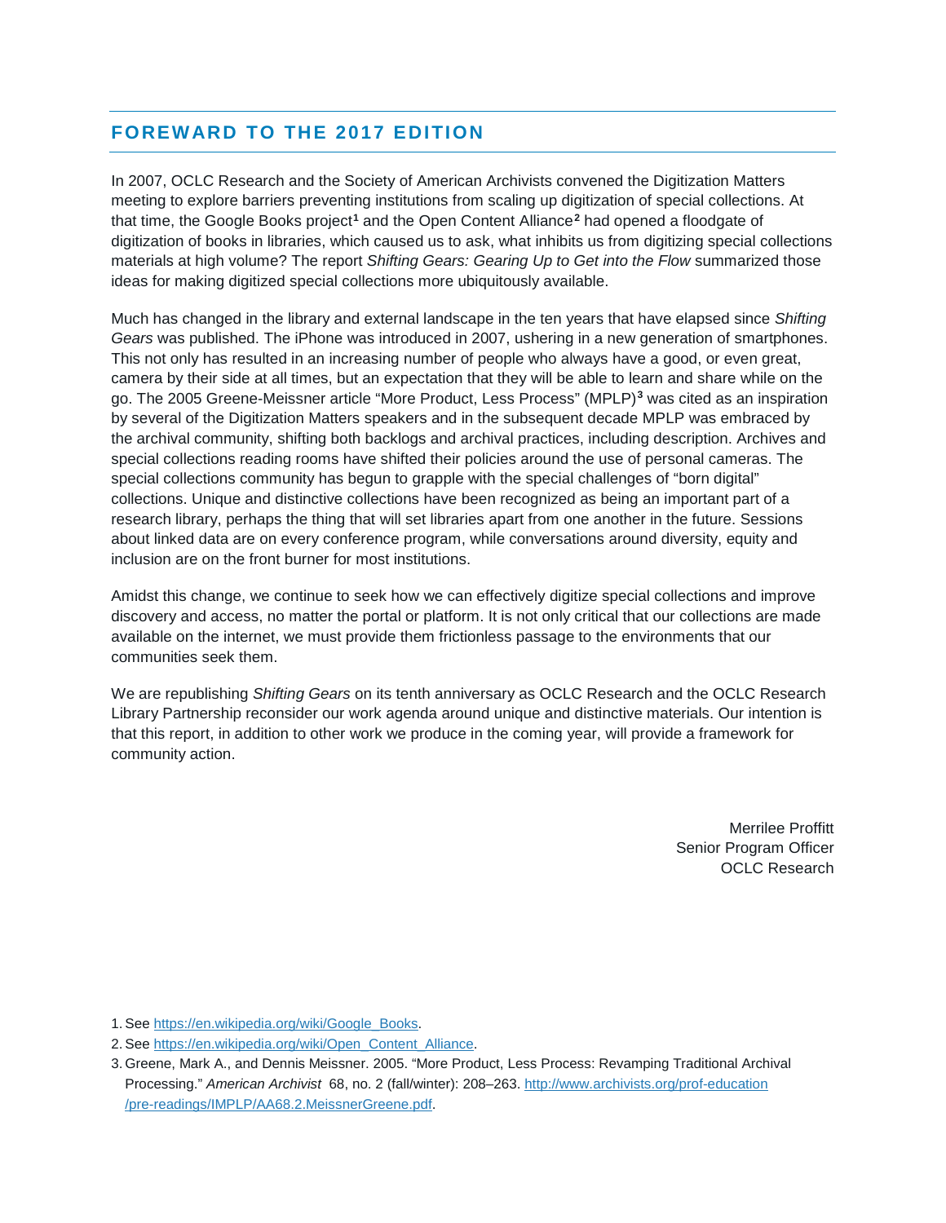#### **FOREWARD TO THE 2017 EDITION**

In 2007, OCLC Research and the Society of American Archivists convened the Digitization Matters meeting to explore barriers preventing institutions from scaling up digitization of special collections. At that time, the Google Books project**[1](#page-4-0)** and the Open Content Alliance**[2](#page-4-1)** had opened a floodgate of digitization of books in libraries, which caused us to ask, what inhibits us from digitizing special collections materials at high volume? The report *Shifting Gears: Gearing Up to Get into the Flow* summarized those ideas for making digitized special collections more ubiquitously available.

Much has changed in the library and external landscape in the ten years that have elapsed since *Shifting Gears* was published. The iPhone was introduced in 2007, ushering in a new generation of smartphones. This not only has resulted in an increasing number of people who always have a good, or even great, camera by their side at all times, but an expectation that they will be able to learn and share while on the go. The 2005 Greene-Meissner article "More Product, Less Process" (MPLP)**[3](#page-4-2)** was cited as an inspiration by several of the Digitization Matters speakers and in the subsequent decade MPLP was embraced by the archival community, shifting both backlogs and archival practices, including description. Archives and special collections reading rooms have shifted their policies around the use of personal cameras. The special collections community has begun to grapple with the special challenges of "born digital" collections. Unique and distinctive collections have been recognized as being an important part of a research library, perhaps the thing that will set libraries apart from one another in the future. Sessions about linked data are on every conference program, while conversations around diversity, equity and inclusion are on the front burner for most institutions.

Amidst this change, we continue to seek how we can effectively digitize special collections and improve discovery and access, no matter the portal or platform. It is not only critical that our collections are made available on the internet, we must provide them frictionless passage to the environments that our communities seek them.

We are republishing *Shifting Gears* on its tenth anniversary as OCLC Research and the OCLC Research Library Partnership reconsider our work agenda around unique and distinctive materials. Our intention is that this report, in addition to other work we produce in the coming year, will provide a framework for community action.

> Merrilee Proffitt Senior Program Officer OCLC Research

<span id="page-4-0"></span>1. Se[e https://en.wikipedia.org/wiki/Google\\_Books.](https://en.wikipedia.org/wiki/Google_Books)

<span id="page-4-1"></span>2. Se[e https://en.wikipedia.org/wiki/Open\\_Content\\_Alliance.](https://en.wikipedia.org/wiki/Open_Content_Alliance)

<span id="page-4-2"></span><sup>3.</sup> Greene, Mark A., and Dennis Meissner. 2005. "More Product, Less Process: Revamping Traditional Archival Processing." *American Archivist* 68, no. 2 (fall/winter): 208–263[. http://www.archivists.org/prof-education](http://www.archivists.org/prof-education/pre-readings/IMPLP/AA68.2.MeissnerGreene.pdf) [/pre-readings/IMPLP/AA68.2.MeissnerGreene.pdf.](http://www.archivists.org/prof-education/pre-readings/IMPLP/AA68.2.MeissnerGreene.pdf)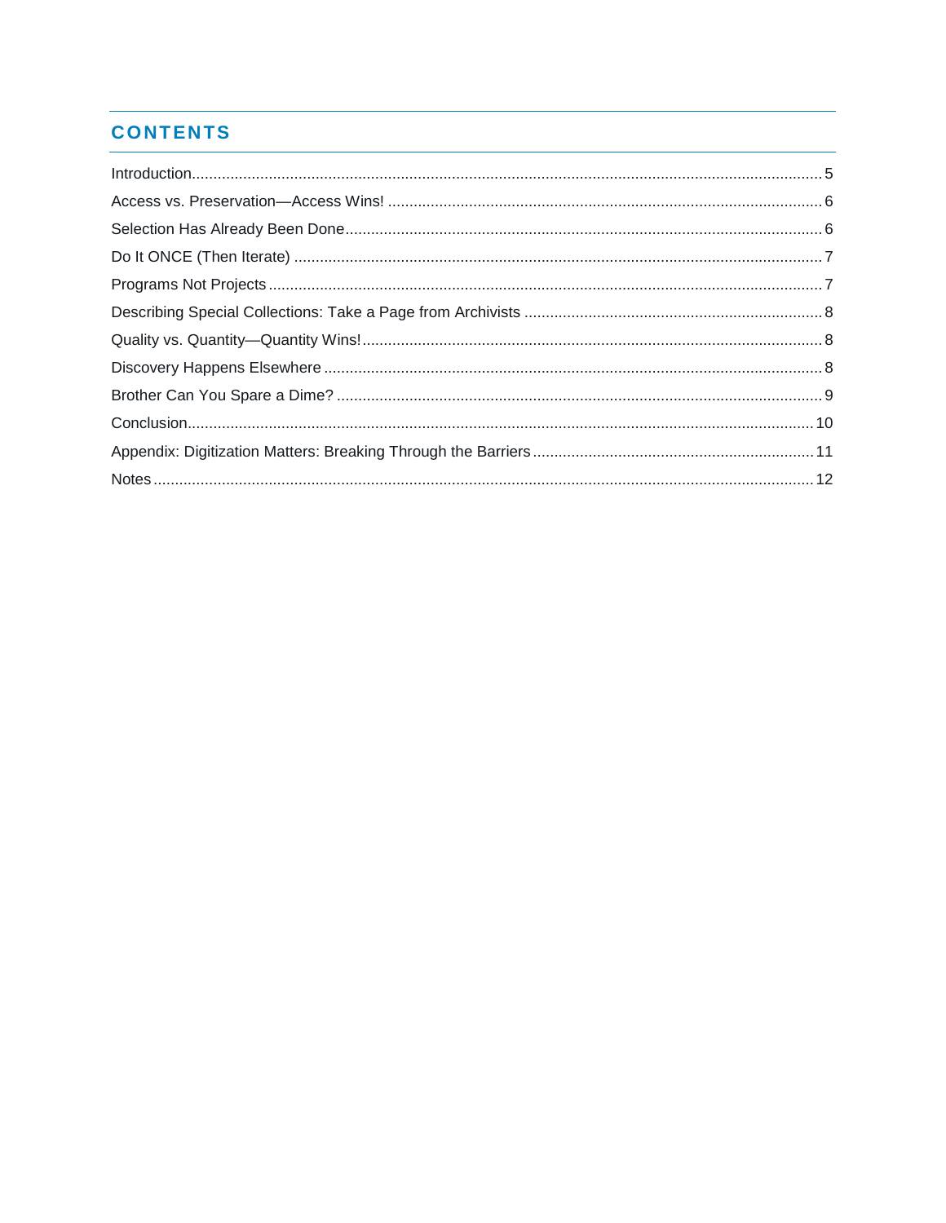#### **CONTENTS**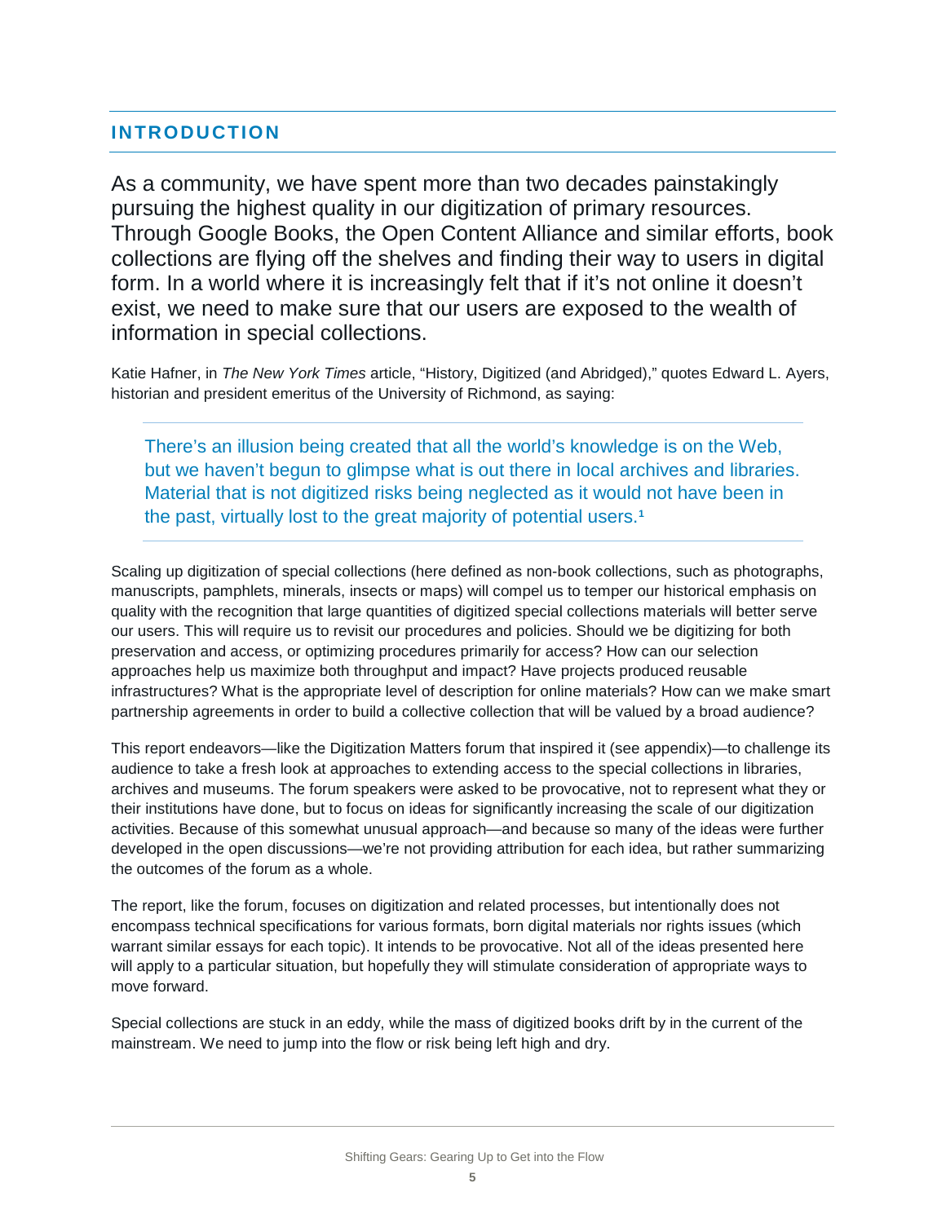#### <span id="page-6-0"></span>**INTRODUCTION**

As a community, we have spent more than two decades painstakingly pursuing the highest quality in our digitization of primary resources. Through Google Books, the Open Content Alliance and similar efforts, book collections are flying off the shelves and finding their way to users in digital form. In a world where it is increasingly felt that if it's not online it doesn't exist, we need to make sure that our users are exposed to the wealth of information in special collections.

Katie Hafner, in *The New York Times* article, "History, Digitized (and Abridged)," quotes Edward L. Ayers, historian and president emeritus of the University of Richmond, as saying:

There's an illusion being created that all the world's knowledge is on the Web, but we haven't begun to glimpse what is out there in local archives and libraries. Material that is not digitized risks being neglected as it would not have been in the past, virtually lost to the great majority of potential users.**[1](#page-13-1)**

Scaling up digitization of special collections (here defined as non-book collections, such as photographs, manuscripts, pamphlets, minerals, insects or maps) will compel us to temper our historical emphasis on quality with the recognition that large quantities of digitized special collections materials will better serve our users. This will require us to revisit our procedures and policies. Should we be digitizing for both preservation and access, or optimizing procedures primarily for access? How can our selection approaches help us maximize both throughput and impact? Have projects produced reusable infrastructures? What is the appropriate level of description for online materials? How can we make smart partnership agreements in order to build a collective collection that will be valued by a broad audience?

This report endeavors—like the Digitization Matters forum that inspired it (see appendix)—to challenge its audience to take a fresh look at approaches to extending access to the special collections in libraries, archives and museums. The forum speakers were asked to be provocative, not to represent what they or their institutions have done, but to focus on ideas for significantly increasing the scale of our digitization activities. Because of this somewhat unusual approach—and because so many of the ideas were further developed in the open discussions—we're not providing attribution for each idea, but rather summarizing the outcomes of the forum as a whole.

The report, like the forum, focuses on digitization and related processes, but intentionally does not encompass technical specifications for various formats, born digital materials nor rights issues (which warrant similar essays for each topic). It intends to be provocative. Not all of the ideas presented here will apply to a particular situation, but hopefully they will stimulate consideration of appropriate ways to move forward.

Special collections are stuck in an eddy, while the mass of digitized books drift by in the current of the mainstream. We need to jump into the flow or risk being left high and dry.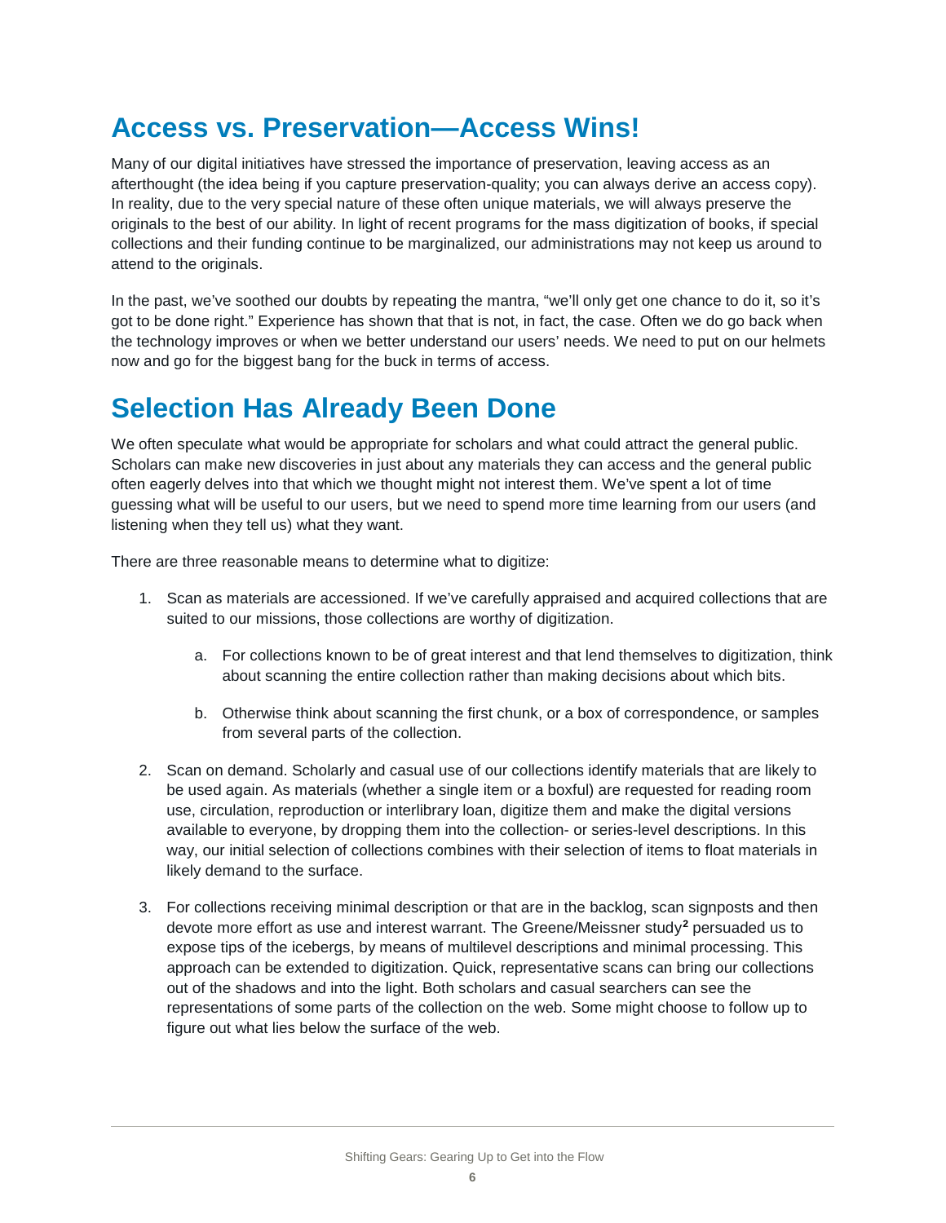#### <span id="page-7-0"></span>**Access vs. Preservation—Access Wins!**

Many of our digital initiatives have stressed the importance of preservation, leaving access as an afterthought (the idea being if you capture preservation-quality; you can always derive an access copy). In reality, due to the very special nature of these often unique materials, we will always preserve the originals to the best of our ability. In light of recent programs for the mass digitization of books, if special collections and their funding continue to be marginalized, our administrations may not keep us around to attend to the originals.

In the past, we've soothed our doubts by repeating the mantra, "we'll only get one chance to do it, so it's got to be done right." Experience has shown that that is not, in fact, the case. Often we do go back when the technology improves or when we better understand our users' needs. We need to put on our helmets now and go for the biggest bang for the buck in terms of access.

### <span id="page-7-1"></span>**Selection Has Already Been Done**

We often speculate what would be appropriate for scholars and what could attract the general public. Scholars can make new discoveries in just about any materials they can access and the general public often eagerly delves into that which we thought might not interest them. We've spent a lot of time guessing what will be useful to our users, but we need to spend more time learning from our users (and listening when they tell us) what they want.

There are three reasonable means to determine what to digitize:

- 1. Scan as materials are accessioned. If we've carefully appraised and acquired collections that are suited to our missions, those collections are worthy of digitization.
	- a. For collections known to be of great interest and that lend themselves to digitization, think about scanning the entire collection rather than making decisions about which bits.
	- b. Otherwise think about scanning the first chunk, or a box of correspondence, or samples from several parts of the collection.
- 2. Scan on demand. Scholarly and casual use of our collections identify materials that are likely to be used again. As materials (whether a single item or a boxful) are requested for reading room use, circulation, reproduction or interlibrary loan, digitize them and make the digital versions available to everyone, by dropping them into the collection- or series-level descriptions. In this way, our initial selection of collections combines with their selection of items to float materials in likely demand to the surface.
- 3. For collections receiving minimal description or that are in the backlog, scan signposts and then devote more effort as use and interest warrant. The Greene/Meissner study**[2](#page-13-2)** persuaded us to expose tips of the icebergs, by means of multilevel descriptions and minimal processing. This approach can be extended to digitization. Quick, representative scans can bring our collections out of the shadows and into the light. Both scholars and casual searchers can see the representations of some parts of the collection on the web. Some might choose to follow up to figure out what lies below the surface of the web.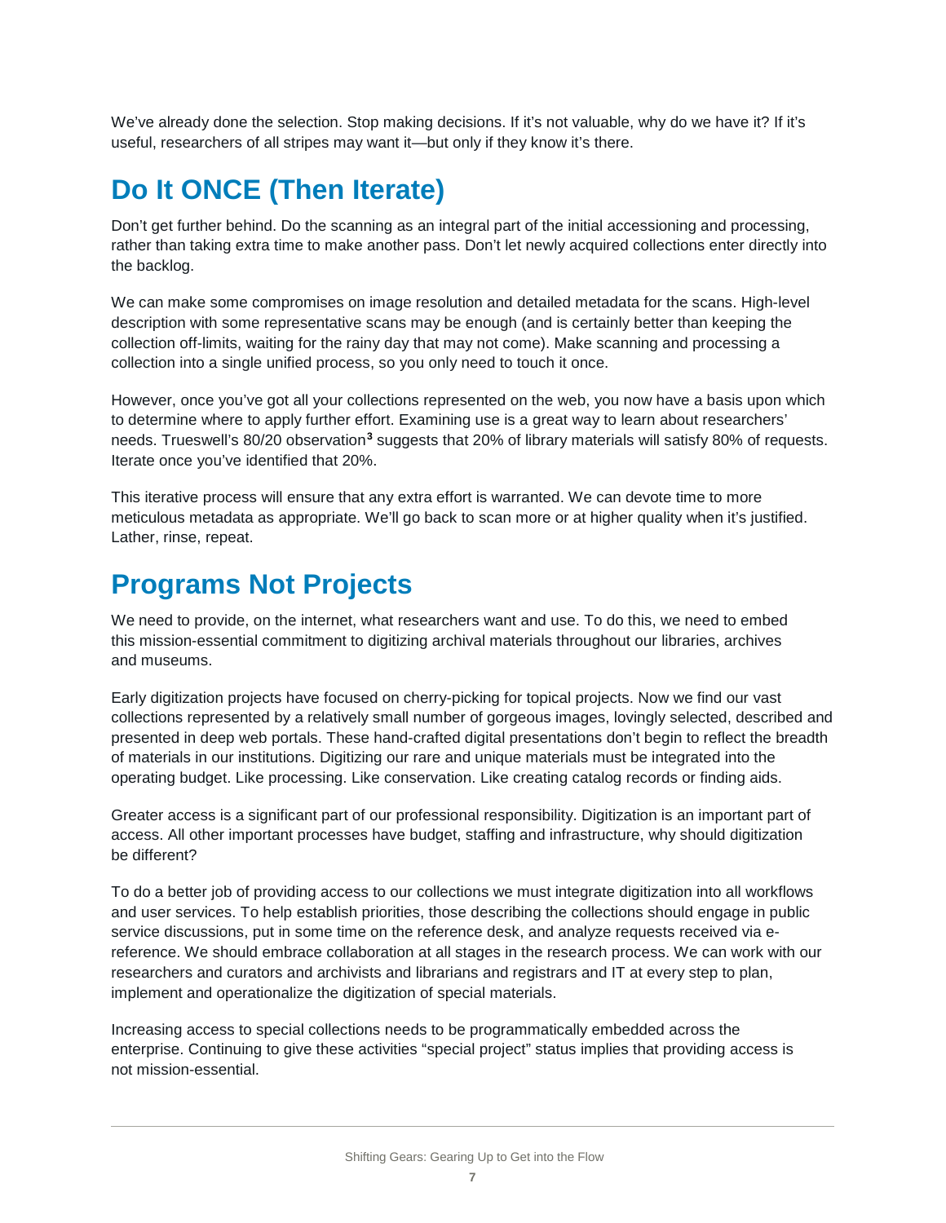We've already done the selection. Stop making decisions. If it's not valuable, why do we have it? If it's useful, researchers of all stripes may want it—but only if they know it's there.

### <span id="page-8-0"></span>**Do It ONCE (Then Iterate)**

Don't get further behind. Do the scanning as an integral part of the initial accessioning and processing, rather than taking extra time to make another pass. Don't let newly acquired collections enter directly into the backlog.

We can make some compromises on image resolution and detailed metadata for the scans. High-level description with some representative scans may be enough (and is certainly better than keeping the collection off-limits, waiting for the rainy day that may not come). Make scanning and processing a collection into a single unified process, so you only need to touch it once.

However, once you've got all your collections represented on the web, you now have a basis upon which to determine where to apply further effort. Examining use is a great way to learn about researchers' needs. Trueswell's 80/20 observation**[3](#page-13-3)** suggests that 20% of library materials will satisfy 80% of requests. Iterate once you've identified that 20%.

This iterative process will ensure that any extra effort is warranted. We can devote time to more meticulous metadata as appropriate. We'll go back to scan more or at higher quality when it's justified. Lather, rinse, repeat.

#### <span id="page-8-1"></span>**Programs Not Projects**

We need to provide, on the internet, what researchers want and use. To do this, we need to embed this mission-essential commitment to digitizing archival materials throughout our libraries, archives and museums.

Early digitization projects have focused on cherry-picking for topical projects. Now we find our vast collections represented by a relatively small number of gorgeous images, lovingly selected, described and presented in deep web portals. These hand-crafted digital presentations don't begin to reflect the breadth of materials in our institutions. Digitizing our rare and unique materials must be integrated into the operating budget. Like processing. Like conservation. Like creating catalog records or finding aids.

Greater access is a significant part of our professional responsibility. Digitization is an important part of access. All other important processes have budget, staffing and infrastructure, why should digitization be different?

To do a better job of providing access to our collections we must integrate digitization into all workflows and user services. To help establish priorities, those describing the collections should engage in public service discussions, put in some time on the reference desk, and analyze requests received via ereference. We should embrace collaboration at all stages in the research process. We can work with our researchers and curators and archivists and librarians and registrars and IT at every step to plan, implement and operationalize the digitization of special materials.

Increasing access to special collections needs to be programmatically embedded across the enterprise. Continuing to give these activities "special project" status implies that providing access is not mission-essential.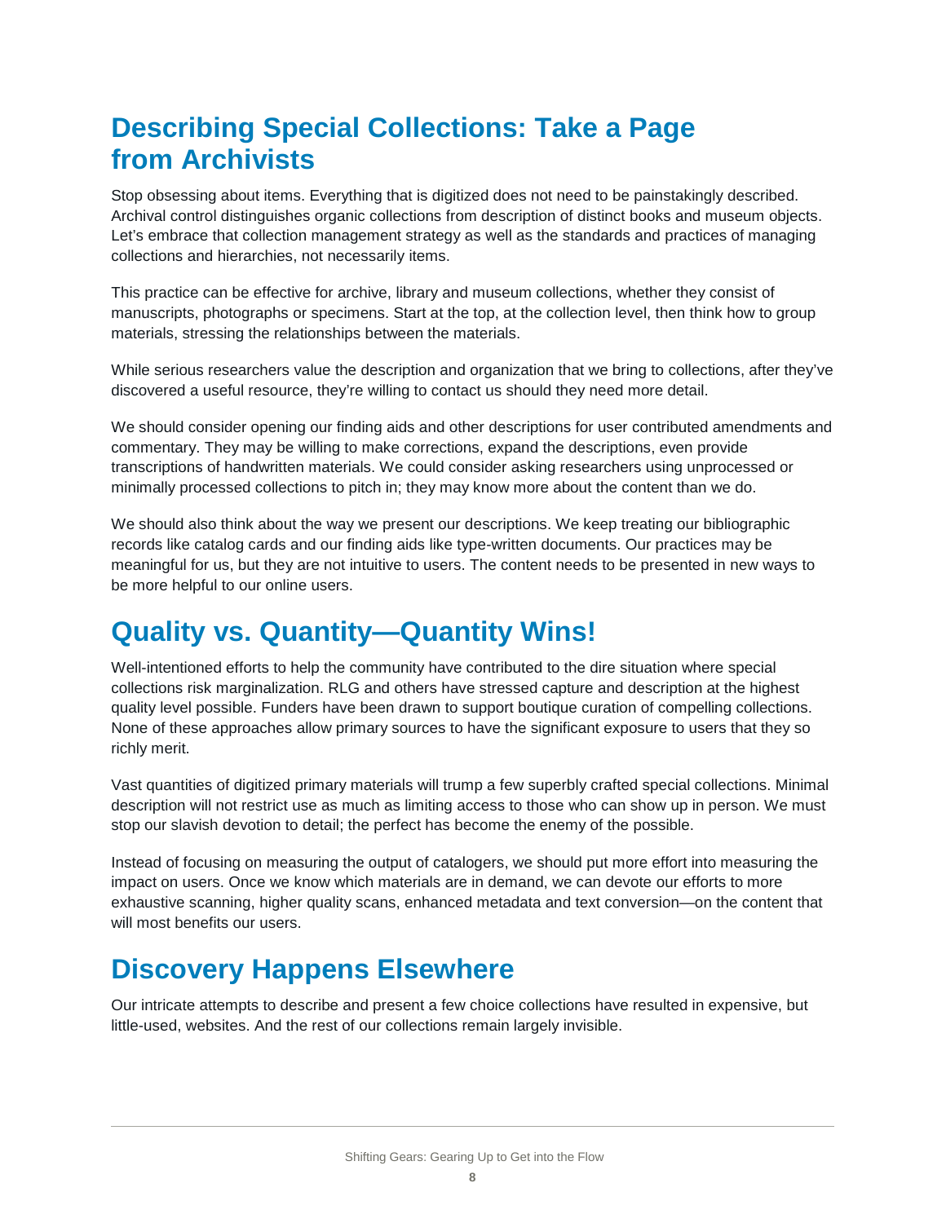## <span id="page-9-0"></span>**Describing Special Collections: Take a Page from Archivists**

Stop obsessing about items. Everything that is digitized does not need to be painstakingly described. Archival control distinguishes organic collections from description of distinct books and museum objects. Let's embrace that collection management strategy as well as the standards and practices of managing collections and hierarchies, not necessarily items.

This practice can be effective for archive, library and museum collections, whether they consist of manuscripts, photographs or specimens. Start at the top, at the collection level, then think how to group materials, stressing the relationships between the materials.

While serious researchers value the description and organization that we bring to collections, after they've discovered a useful resource, they're willing to contact us should they need more detail.

We should consider opening our finding aids and other descriptions for user contributed amendments and commentary. They may be willing to make corrections, expand the descriptions, even provide transcriptions of handwritten materials. We could consider asking researchers using unprocessed or minimally processed collections to pitch in; they may know more about the content than we do.

We should also think about the way we present our descriptions. We keep treating our bibliographic records like catalog cards and our finding aids like type-written documents. Our practices may be meaningful for us, but they are not intuitive to users. The content needs to be presented in new ways to be more helpful to our online users.

### <span id="page-9-1"></span>**Quality vs. Quantity—Quantity Wins!**

Well-intentioned efforts to help the community have contributed to the dire situation where special collections risk marginalization. RLG and others have stressed capture and description at the highest quality level possible. Funders have been drawn to support boutique curation of compelling collections. None of these approaches allow primary sources to have the significant exposure to users that they so richly merit.

Vast quantities of digitized primary materials will trump a few superbly crafted special collections. Minimal description will not restrict use as much as limiting access to those who can show up in person. We must stop our slavish devotion to detail; the perfect has become the enemy of the possible.

Instead of focusing on measuring the output of catalogers, we should put more effort into measuring the impact on users. Once we know which materials are in demand, we can devote our efforts to more exhaustive scanning, higher quality scans, enhanced metadata and text conversion—on the content that will most benefits our users.

### <span id="page-9-2"></span>**Discovery Happens Elsewhere**

Our intricate attempts to describe and present a few choice collections have resulted in expensive, but little-used, websites. And the rest of our collections remain largely invisible.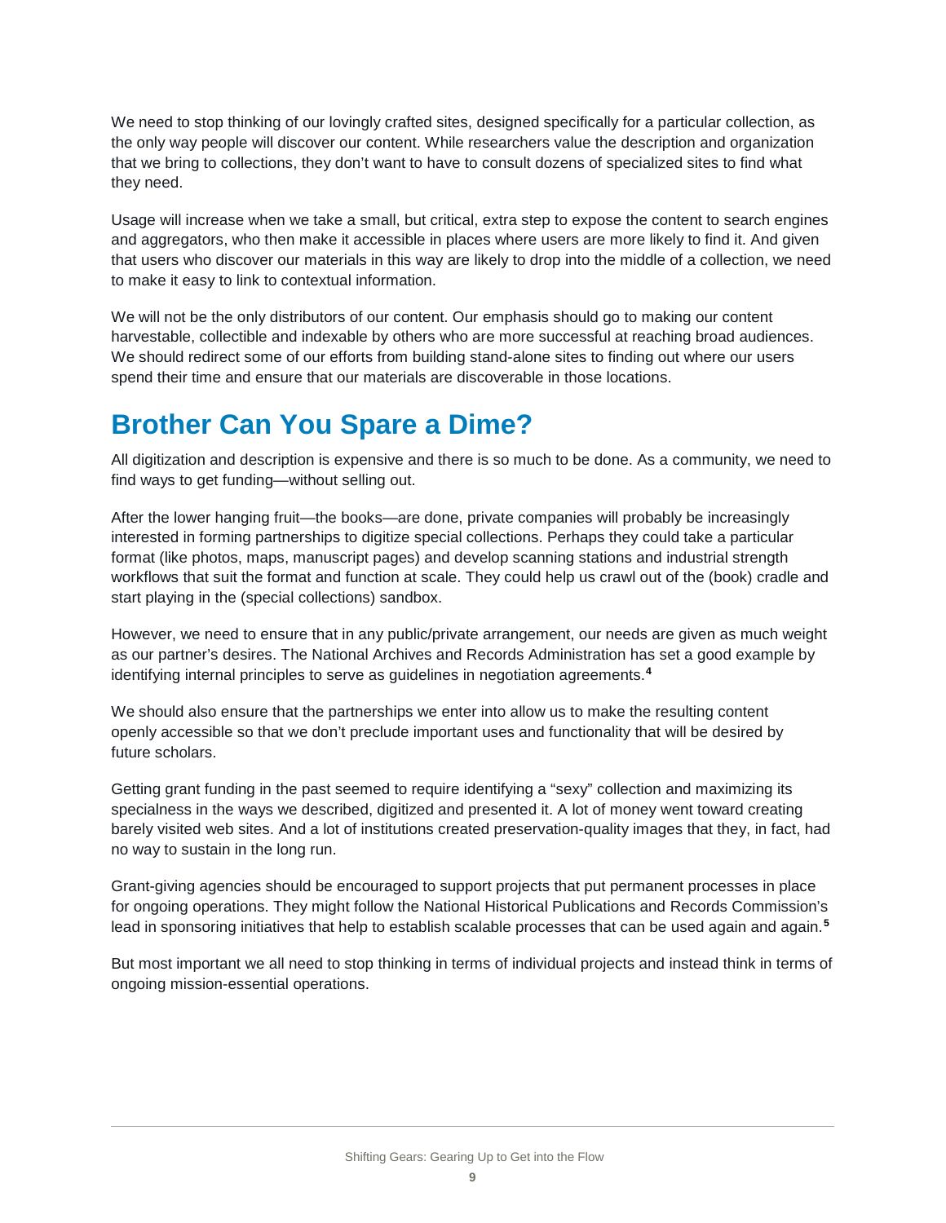We need to stop thinking of our lovingly crafted sites, designed specifically for a particular collection, as the only way people will discover our content. While researchers value the description and organization that we bring to collections, they don't want to have to consult dozens of specialized sites to find what they need.

Usage will increase when we take a small, but critical, extra step to expose the content to search engines and aggregators, who then make it accessible in places where users are more likely to find it. And given that users who discover our materials in this way are likely to drop into the middle of a collection, we need to make it easy to link to contextual information.

We will not be the only distributors of our content. Our emphasis should go to making our content harvestable, collectible and indexable by others who are more successful at reaching broad audiences. We should redirect some of our efforts from building stand-alone sites to finding out where our users spend their time and ensure that our materials are discoverable in those locations.

## <span id="page-10-0"></span>**Brother Can You Spare a Dime?**

All digitization and description is expensive and there is so much to be done. As a community, we need to find ways to get funding—without selling out.

After the lower hanging fruit—the books—are done, private companies will probably be increasingly interested in forming partnerships to digitize special collections. Perhaps they could take a particular format (like photos, maps, manuscript pages) and develop scanning stations and industrial strength workflows that suit the format and function at scale. They could help us crawl out of the (book) cradle and start playing in the (special collections) sandbox.

However, we need to ensure that in any public/private arrangement, our needs are given as much weight as our partner's desires. The National Archives and Records Administration has set a good example by identifying internal principles to serve as guidelines in negotiation agreements.**[4](#page-13-4)**

We should also ensure that the partnerships we enter into allow us to make the resulting content openly accessible so that we don't preclude important uses and functionality that will be desired by future scholars.

Getting grant funding in the past seemed to require identifying a "sexy" collection and maximizing its specialness in the ways we described, digitized and presented it. A lot of money went toward creating barely visited web sites. And a lot of institutions created preservation-quality images that they, in fact, had no way to sustain in the long run.

Grant-giving agencies should be encouraged to support projects that put permanent processes in place for ongoing operations. They might follow the National Historical Publications and Records Commission's lead in sponsoring initiatives that help to establish scalable processes that can be used again and again.**[5](#page-13-5)**

But most important we all need to stop thinking in terms of individual projects and instead think in terms of ongoing mission-essential operations.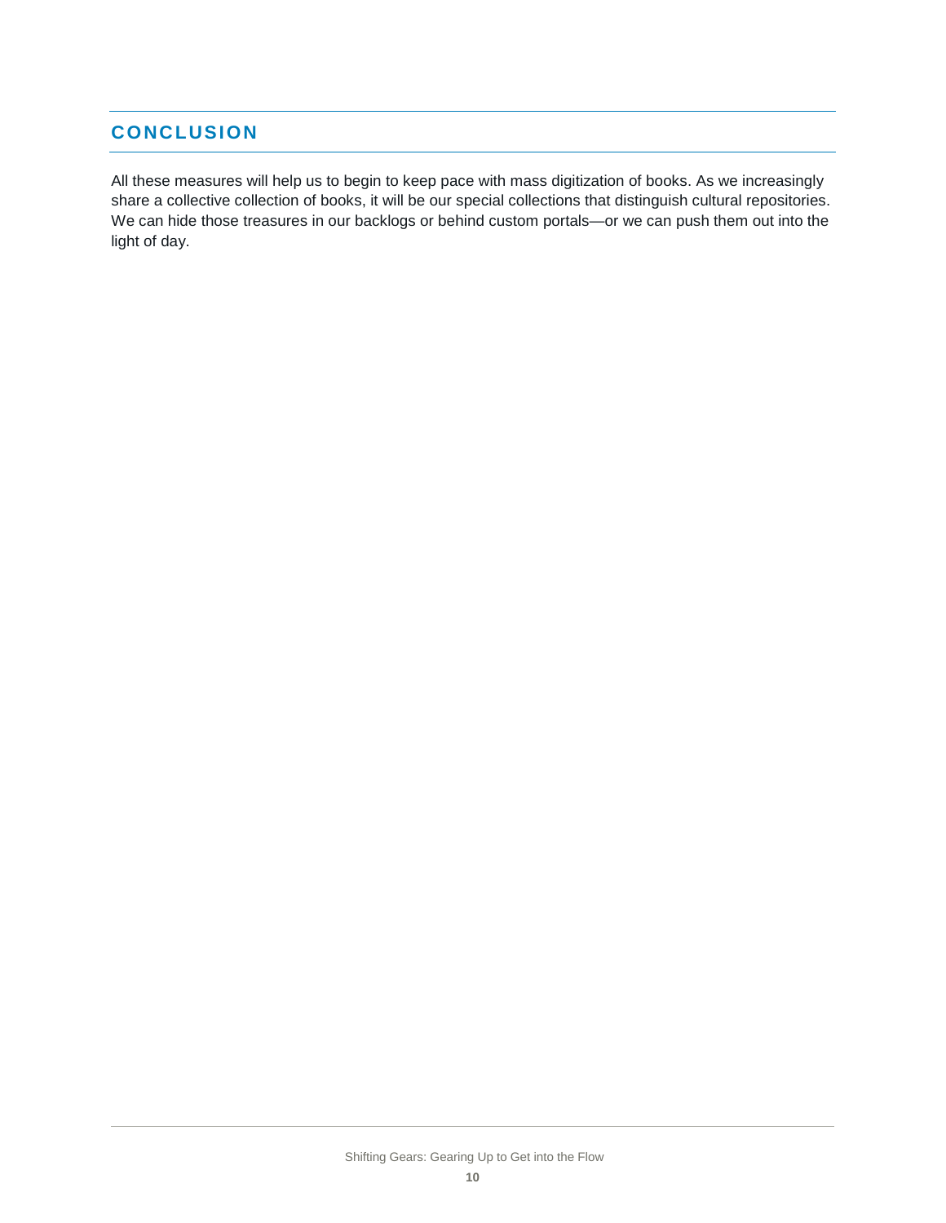#### <span id="page-11-0"></span>**CONCLUSION**

All these measures will help us to begin to keep pace with mass digitization of books. As we increasingly share a collective collection of books, it will be our special collections that distinguish cultural repositories. We can hide those treasures in our backlogs or behind custom portals—or we can push them out into the light of day.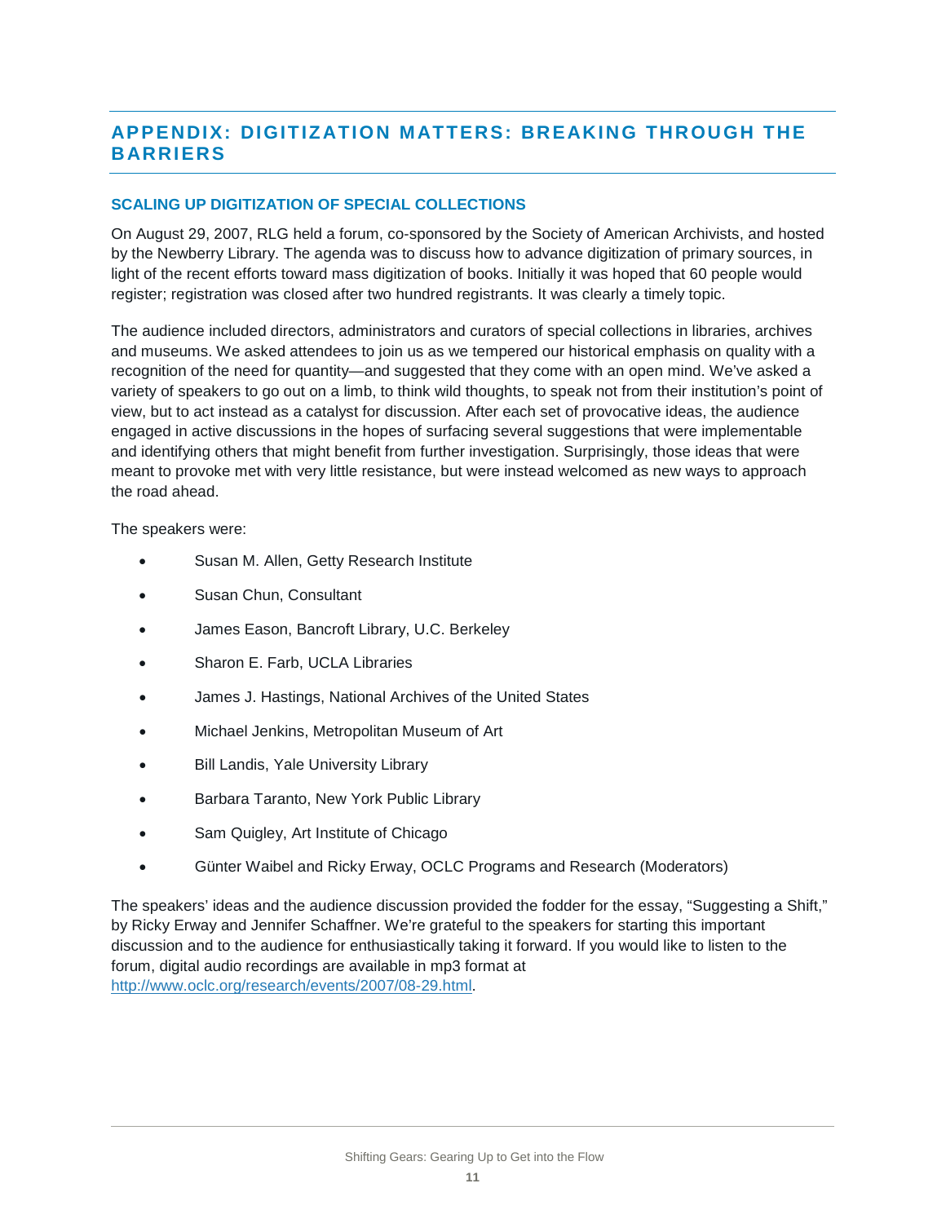#### <span id="page-12-0"></span>**APPENDIX: DIGITIZATION MATTERS: BREAKING THROUGH THE BARRIERS**

#### **SCALING UP DIGITIZATION OF SPECIAL COLLECTIONS**

On August 29, 2007, RLG held a forum, co-sponsored by the Society of American Archivists, and hosted by the Newberry Library. The agenda was to discuss how to advance digitization of primary sources, in light of the recent efforts toward mass digitization of books. Initially it was hoped that 60 people would register; registration was closed after two hundred registrants. It was clearly a timely topic.

The audience included directors, administrators and curators of special collections in libraries, archives and museums. We asked attendees to join us as we tempered our historical emphasis on quality with a recognition of the need for quantity—and suggested that they come with an open mind. We've asked a variety of speakers to go out on a limb, to think wild thoughts, to speak not from their institution's point of view, but to act instead as a catalyst for discussion. After each set of provocative ideas, the audience engaged in active discussions in the hopes of surfacing several suggestions that were implementable and identifying others that might benefit from further investigation. Surprisingly, those ideas that were meant to provoke met with very little resistance, but were instead welcomed as new ways to approach the road ahead.

The speakers were:

- Susan M. Allen, Getty Research Institute
- Susan Chun, Consultant
- James Eason, Bancroft Library, U.C. Berkeley
- Sharon E. Farb, UCLA Libraries
- James J. Hastings, National Archives of the United States
- Michael Jenkins, Metropolitan Museum of Art
- **Bill Landis, Yale University Library**
- Barbara Taranto, New York Public Library
- Sam Quigley, Art Institute of Chicago
- Günter Waibel and Ricky Erway, OCLC Programs and Research (Moderators)

The speakers' ideas and the audience discussion provided the fodder for the essay, "Suggesting a Shift," by Ricky Erway and Jennifer Schaffner. We're grateful to the speakers for starting this important discussion and to the audience for enthusiastically taking it forward. If you would like to listen to the forum, digital audio recordings are available in mp3 format at [http://www.oclc.org/research/events/2007/08-29.html.](http://www.oclc.org/research/events/2007/08-29.html)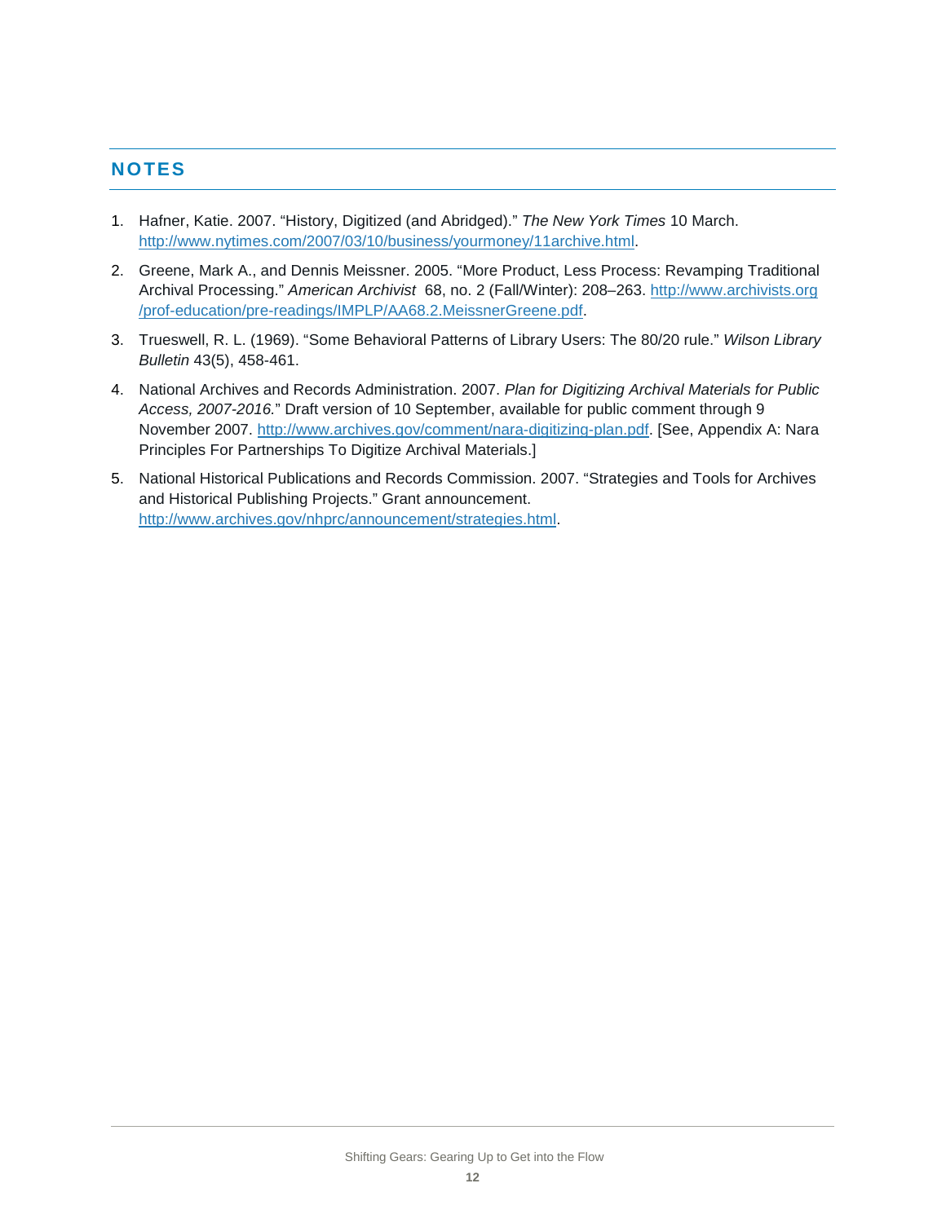#### <span id="page-13-0"></span>**NOTES**

- <span id="page-13-1"></span>1. Hafner, Katie. 2007. "History, Digitized (and Abridged)." *The New York Times* 10 March. [http://www.nytimes.com/2007/03/10/business/yourmoney/11archive.html.](http://www.nytimes.com/2007/03/10/business/yourmoney/11archive.html)
- <span id="page-13-2"></span>2. Greene, Mark A., and Dennis Meissner. 2005. "More Product, Less Process: Revamping Traditional Archival Processing." *American Archivist* 68, no. 2 (Fall/Winter): 208–263. [http://www.archivists.org](http://www.archivists.org/prof-education/pre-readings/IMPLP/AA68.2.MeissnerGreene.pdf) [/prof-education/pre-readings/IMPLP/AA68.2.MeissnerGreene.pdf.](http://www.archivists.org/prof-education/pre-readings/IMPLP/AA68.2.MeissnerGreene.pdf)
- <span id="page-13-3"></span>3. Trueswell, R. L. (1969). "Some Behavioral Patterns of Library Users: The 80/20 rule." *Wilson Library Bulletin* 43(5), 458-461.
- <span id="page-13-4"></span>4. National Archives and Records Administration. 2007. *Plan for Digitizing Archival Materials for Public Access, 2007-2016.*" Draft version of 10 September, available for public comment through 9 November 2007. [http://www.archives.gov/comment/nara-digitizing-plan.pdf.](http://www.archives.gov/comment/nara-digitizing-plan.pdf) [See, Appendix A: Nara Principles For Partnerships To Digitize Archival Materials.]
- <span id="page-13-5"></span>5. National Historical Publications and Records Commission. 2007. "Strategies and Tools for Archives and Historical Publishing Projects." Grant announcement. [http://www.archives.gov/nhprc/announcement/strategies.html.](http://www.archives.gov/nhprc/announcement/strategies.html)